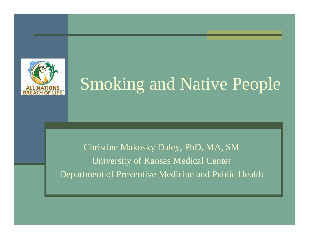

# Smoking and Native People

Christine Makosky Daley, PhD, MA, SM University of Kansas Medical Center Department of Preventive Medicine and Public Health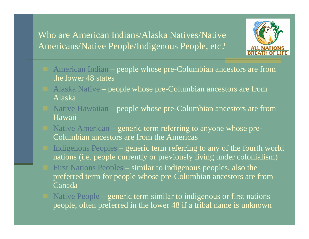#### Who are American Indians/Alaska Natives/Native Americans/Native People/Indigenous People, etc?



- American Indian people whose pre-Columbian ancestors are from the lower 48 states
- Alaska Native people whose pre-Columbian ancestors are from Alaska
- Native Hawaiian people whose pre-Columbian ancestors are from Hawaii
- Native American generic term referring to anyone whose pre-Columbian ancestors are from the Americas
- Indigenous Peoples generic term referring to any of the fourth world nations (i.e. people currently or previously living under colonialism)
- First Nations Peoples similar to indigenous peoples, also the preferred term for people whose pre-Columbian ancestors are from Canada
- Native People generic term similar to indigenous or first nations people, often preferred in the lower 48 if a tribal name is unknown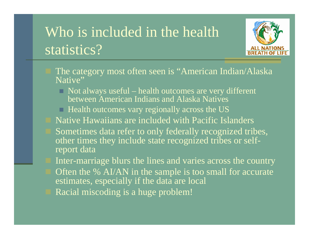# Who is included in the health statistics?



- The category most often seen is "American Indian/Alaska Native"
	- $\Box$  Not always useful health outcomes are very different between American Indians and Alaska Natives
	- $\Box$  Health outcomes vary regionally across the US
- Native Hawaiians are included with Pacific Islanders
- Sometimes data refer to only federally recognized tribes, other times they include state recognized tribes or selfreport data
- Inter-marriage blurs the lines and varies across the country Often the % AI/AN in the sample is too small for accurate estimates, especially if the data are local Racial miscoding is a huge problem!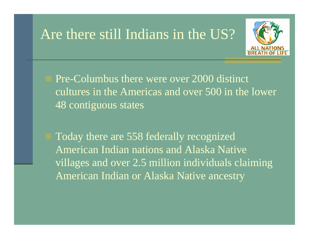### Are there still Indians in the US?



 Pre-Columbus there were over 2000 distinct cultures in the Americas and over 500 in the lower 48 contiguous states

 Today there are 558 federally recognized American Indian nations and Alaska Native villages and over 2.5 million individuals claiming American Indian or Alaska Native ancestry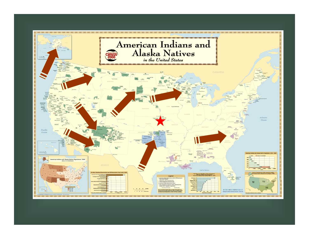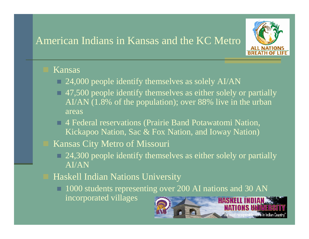#### American Indians in Kansas and the KC Metro



#### Kansas

- 24,000 people identify themselves as solely AI/AN
- 47,500 people identify themselves as either solely or partially AI/AN (1.8% of the population); over 88% live in the urban areas
- 4 Federal reservations (Prairie Band Potawatomi Nation, Kickapoo Nation, Sac & Fox Nation, and Ioway Nation)
- Kansas City Metro of Missouri
	- 24,300 people identify themselves as either solely or partially AI/AN
- Haskell Indian Nations University
	- 1000 students representing over 200 AI nations and 30 AN incorporated villages**HASKELL**

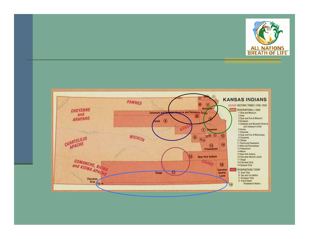

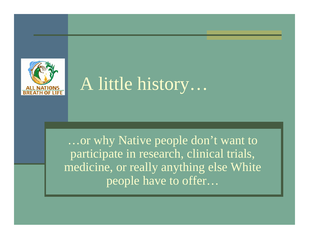

# A little history...

...or why Native people don't want to participate in research, clinical trials, medicine, or really anything else White people have to offer...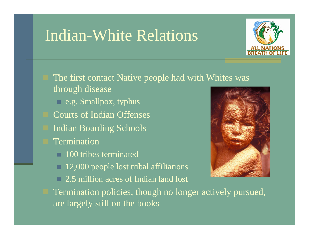## Indian-White Relations



- The first contact Native people had with Whites was through disease
	- e.g. Smallpox, typhus
	- Courts of Indian Offenses
	- Indian Boarding Schools
- Termination
	- **100 tribes terminated**
	- 12,000 people lost tribal affiliations
	- □ 2.5 million acres of Indian land lost



 Termination policies, though no longer actively pursued, are largely still on the books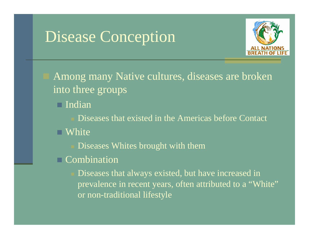# Disease Conception



 Among many Native cultures, diseases are broken into three groups

Indian

Diseases that existed in the Americas before Contact

■ White

Diseases Whites brought with them

□ Combination

 Diseases that always existed, but have increased in prevalence in recent years, often attributed to a "White" or non-traditional lifestyle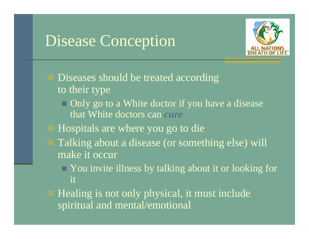# Disease Conception



- Diseases should be treated according to their type
	- $\Box$  Only go to a White doctor if you have a disease that White doctors can *cure*
- Hospitals are where you go to die
- Talking about a disease (or something else) will make it occur
	- You invite illness by talking about it or looking for it
- Healing is not only physical, it must include spiritual and mental/emotional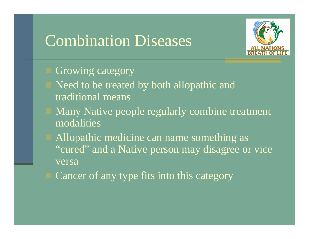### Combination Diseases



- Growing category
- Need to be treated by both allopathic and traditional means
- Many Native people regularly combine treatment modalities
- Allopathic medicine can name something as "cured" and a Native person may disagree or vice versa
- Cancer of any type fits into this category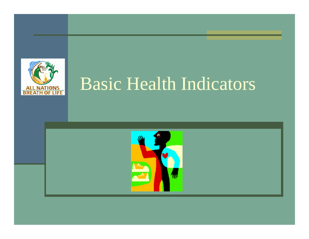

# Basic Health Indicators

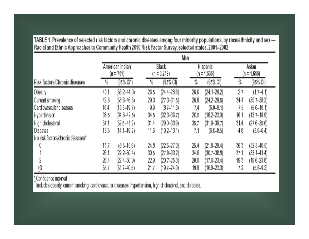| . .                                |                |                                |                |                        |                |                                  |          |                        |
|------------------------------------|----------------|--------------------------------|----------------|------------------------|----------------|----------------------------------|----------|------------------------|
|                                    | Men            |                                |                |                        |                |                                  |          |                        |
|                                    |                | American Indian<br>$(n = 751)$ |                | Black<br>$(n = 3,218)$ |                | <b>Hispanic</b><br>$(n = 1.535)$ |          | Asian<br>$(n = 1.655)$ |
| Risk factors/Chronic diseases      | $\frac{0}{10}$ | (95% Cl*)                      | $\frac{0}{10}$ | $(95\% C)$             | $\frac{0}{10}$ | (95% C)                          | %        | (95% CI)               |
| <b>Obesity</b>                     | 40.1           | $(36.2 - 44.0)$                | 26.5           | $(24.4 - 28.6)$        | 26.6           | $(24.1 - 29.2)$                  | 2.7      | $(1.7-4.1)$            |
| Current smoking                    | 42.6           | $(38.6 - 46.6)$                | 29.3           | $(27.3 - 31.5)$        | 26.8           | $(24.2 - 29.5)$                  | 34.4     | $(30.7 - 38.2)$        |
| Cardiovascular diseases            | 16.4           | $(13.6 - 19.7)$                | 9.9            | $(8.7 - 11.3)$         | 7.4            | $(6.0 - 9.1)$                    | 75       | $(5.6 - 10.1)$         |
| Hypertension                       | 38.5           | $(34.6 - 42.5)$                | 34,5           | $(32.3 - 36.7)$        | 20.5           | $(18.2 - 23.0)$                  | 16.1     | $(13.7 - 18.9)$        |
| High cholesterol                   | 37.1           | $(32.5 - 41.9)$                | 31.4           | $(29.0 - 33.9)$        | 35.7           | $(31.9 - 39.7)$                  | 31.4     | $(27.6 - 35.6)$        |
| <b>Diabetes</b>                    | 16.8           | $(14.1 - 19.9)$                | 11.6           | $(10.2 - 13.1)$        | 7.1            | $(6.0 - 8.5)$                    | 4.8      | $(3.6 - 6.4)$          |
| No. risk factors/chronic diseasest |                |                                |                |                        |                |                                  |          |                        |
| 0                                  | 11.7           | $(8.8 - 15.5)$                 | 24.8           | $(22.5 - 27.3)$        | 25.4           | $(21.8 - 29.4)$                  | 36.3     | $(32.3 - 40.5)$        |
|                                    | $2\!\!\!.6.1$  | $(Z2.2 - 30.4)$                | 30.5           | $(27.9 - 33.2)$        | 34,6           | $(30.7 - 38.8)$                  | $37.1\,$ | $(33.1 - 41.4)$        |
| 2                                  | 26.4           | $(22.4 - 30.9)$                | 22.9           | $(20.7 - 25.3)$        | 20.0           | $(17.0 - 23.4)$                  | 19,3     | $(15.6 - 23.8)$        |
| $\geq 3$                           | 35.7           | $(31.2 - 40.5)$                | 21.7           | $(19.7 - 24.0)$        | 19.9           | $(16.9 - 23.3)$                  | 7.2      | $(5.6 - 9.2)$          |

TABLE 1. Prevalence of selected risk factors and chronic diseases among four minority populations, by race/ethnicity and sex-Racial and Ethnic Approaches to Community Health 2010 Risk Factor Survey, selected states, 2001-2002  $\blacksquare$ 

\*Confidence interval.

fincludes obesity, current smoking, cardiovascular diseases, hypertension, high cholesterol, and diabetes.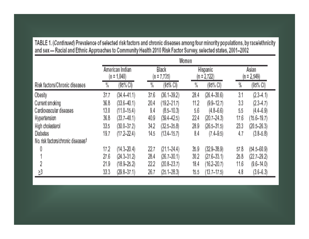|                                    | Women          |                                  |                |                         |                |                                  |      |                        |
|------------------------------------|----------------|----------------------------------|----------------|-------------------------|----------------|----------------------------------|------|------------------------|
|                                    |                | American Indian<br>$(n = 1,040)$ |                | Black<br>$(n = 7, 735)$ |                | <b>Hispanic</b><br>$(n = 2,722)$ |      | Asian<br>$(n = 2,549)$ |
| Risk factors/Chronic diseases      | $\frac{0}{10}$ | (95% CI)                         | $\frac{0}{10}$ | (95% CI)                | $\frac{0}{10}$ | $(95\% \text{ Cl})$              | %    | $(95\% \text{ Cl})$    |
| <b>Obesity</b>                     | 37.7           | $(34.4-41.1)$                    | 37.6           | $(36.1 - 39.2)$         | 28.4           | $(26.4 - 30.6)$                  | 3.1  | $(2.3-4.1)$            |
| Current smoking                    | 36.8           | $(33.6 - 40.1)$                  | 20.4           | $(19.2 - 21.7)$         | 11.2           | $(9.9 - 12.7)$                   | 33   | $(2.3-4.7)$            |
| Cardiovascular diseases            | 13.Q           | $(11.0 - 15.4)$                  | 9.4            | $(8.5 - 10.3)$          | 5.6            | $(4.8 - 6.6)$                    | 5.5  | $(4.4 - 6.9)$          |
| Hypertension                       | 36.8           | $(33.7 - 40.1)$                  | 40.9           | $(39.4 - 42.5)$         | 22.4           | $(20.7 - 24.3)$                  | 17.6 | $(15.6 - 19.7)$        |
| High cholesterol                   | 33.5           | $(30.0 - 37.2)$                  | 34.2           | $(32.5 - 35.8)$         | 28.9           | $(26.5 - 31.5)$                  | 23.3 | $(20.5 - 26.3)$        |
| Diabetes                           | 19.7           | $(17.2 - 22.4)$                  | 14.5           | $(13.4 - 15.7)$         | 8.4            | $(7.4 - 9.5)$                    | 4.7  | $(3.8 - 5.8)$          |
| No. risk factors/chronic diseases† |                |                                  |                |                         |                |                                  |      |                        |
| 0                                  | 17.2           | (14.3–20.4)                      | 22.7           | $(21.1 - 24.4)$         | 35.9           | $(32.9 - 38.9)$                  | 57.8 | $(54.5 - 60.9)$        |
|                                    | 27.6           | $(24.3 - 31.2)$                  | 28.4           | $(26.7 - 30.1)$         | 30.2           | $(27.6 - 33.1)$                  | 25.8 | $(22.7 - 29.2)$        |
| 2                                  | 21.9           | $(18.9 - 25.2)$                  | 22.2           | $(20.8 - 23.7)$         | 18.4           | $(16.2 - 20.7)$                  | 11.6 | $(9.6 - 14.0)$         |
| $\S 3$                             | 33.3           | $(29.8 - 37.1)$                  | 26.7           | $(25.1 - 28.3)$         | 15.5.          | $(13.7 - 17.5)$                  | 4.8  | $(3.6 - 6.3)$          |

TABLE 1. (Continued) Prevalence of selected risk factors and chronic diseases among four minority populations, by race/ethnicity and sax .... Racial and Ethnic Annroaches to Community Health 2010 Risk Eactor Survey selected states 2001-2002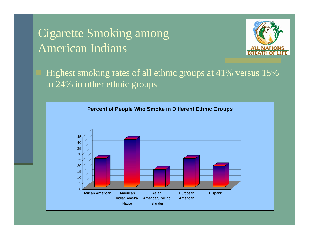#### Cigarette Smoking among American Indians



 Highest smoking rates of all ethnic groups at 41% versus 15% to 24% in other ethnic groups

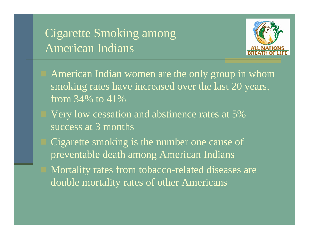#### Cigarette Smoking among American Indians



- American Indian women are the only group in whom smoking rates have increased over the last 20 years, from 34% to 41%
- Very low cessation and abstinence rates at 5% success at 3 months
- Cigarette smoking is the number one cause of preventable death among American Indians
- Mortality rates from tobacco-related diseases are double mortality rates of other Americans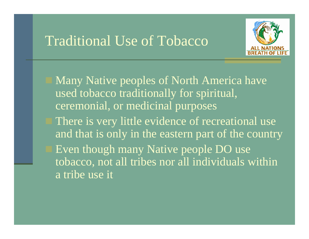### Traditional Use of Tobacco



 Many Native peoples of North America have used tobacco traditionally for spiritual, ceremonial, or medicinal purposes

 There is very little evidence of recreational use and that is only in the eastern part of the country Even though many Native people DO use tobacco, not all tribes nor all individuals within a tribe use it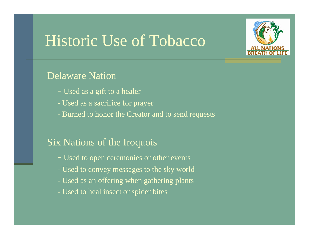# Historic Use of Tobacco



#### Delaware Nation

- Used as a gift to a healer
- Used as a sacrifice for prayer
- Burned to honor the Creator and to send requests

#### Six Nations of the Iroquois

- Used to open ceremonies or other events
- Used to convey messages to the sky world
- Used as an offering when gathering plants
- Used to heal insect or spider bites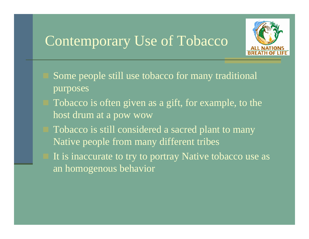## Contemporary Use of Tobacco



- Some people still use tobacco for many traditional purposes
- Tobacco is often given as a gift, for example, to the host drum at a pow wow
- Tobacco is still considered a sacred plant to many Native people from many different tribes
- It is inaccurate to try to portray Native tobacco use as an homogenous behavior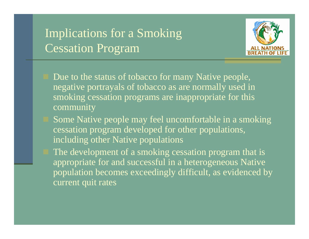### Implications for a Smoking Cessation Program



- Due to the status of tobacco for many Native people, negative portrayals of tobacco as are normally used in smoking cessation programs are inappropriate for this community
- Some Native people may feel uncomfortable in a smoking cessation program developed for other populations, including other Native populations
- The development of a smoking cessation program that is appropriate for and successful in a heterogeneous Native population becomes exceedingly difficult, as evidenced by current quit rates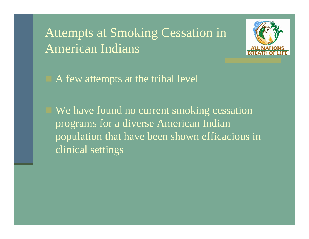### Attempts at Smoking Cessation in American Indians



A few attempts at the tribal level

We have found no current smoking cessation programs for a diverse American Indian population that have been shown efficacious in clinical settings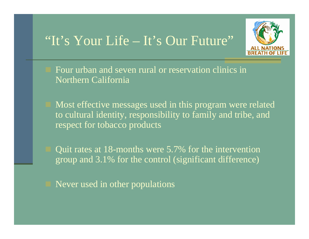### "It's Your Life – It's Our Future"



 Four urban and seven rural or reservation clinics in Northern California

 Most effective messages used in this program were related to cultural identity, responsibility to family and tribe, and respect for tobacco products

 Quit rates at 18-months were 5.7% for the intervention group and 3.1% for the control (significant difference)

Never used in other populations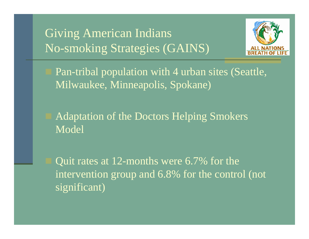### Giving American Indians No-smoking Strategies (GAINS)



- Pan-tribal population with 4 urban sites (Seattle, Milwaukee, Minneapolis, Spokane)
- Adaptation of the Doctors Helping Smokers Model

 Quit rates at 12-months were 6.7% for the intervention group and 6.8% for the control (not significant)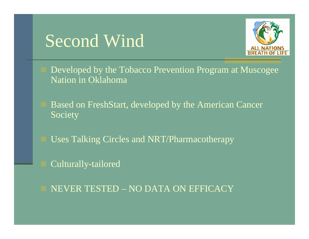# Second Wind



 Developed by the Tobacco Prevention Program at Muscogee Nation in Oklahoma

 Based on FreshStart, developed by the American Cancer Society

Uses Talking Circles and NRT/Pharmacotherapy

Culturally-tailored

NEVER TESTED – NO DATA ON EFFICACY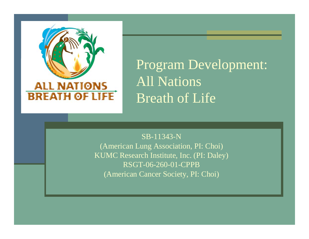

Program Development: All Nations Breath of Life

SB-11343-N

(American Lung Association, PI: Choi) KUMC Research Institute, Inc. (PI: Daley) RSGT-06-260-01-CPPB (American Cancer Society, PI: Choi)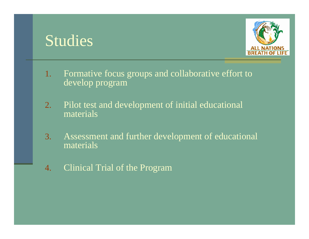### Studies



- 1. Formative focus groups and collaborative effort to develop program
- 2. Pilot test and development of initial educational materials
- 3. Assessment and further development of educational materials
- 4.Clinical Trial of the Program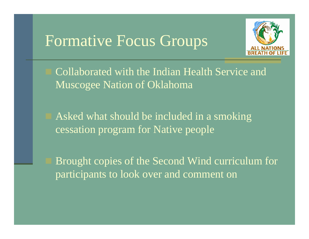### Formative Focus Groups



 Collaborated with the Indian Health Service and Muscogee Nation of Oklahoma

 Asked what should be included in a smoking cessation program for Native people

 Brought copies of the Second Wind curriculum for participants to look over and comment on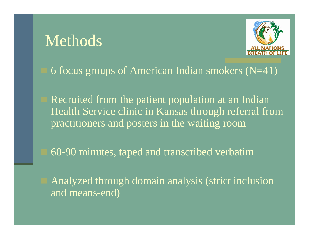## Methods



#### 6 focus groups of American Indian smokers  $(N=41)$

 Recruited from the patient population at an Indian Health Service clinic in Kansas through referral from practitioners and posters in the waiting room

60-90 minutes, taped and transcribed verbatim

 Analyzed through domain analysis (strict inclusion and means-end)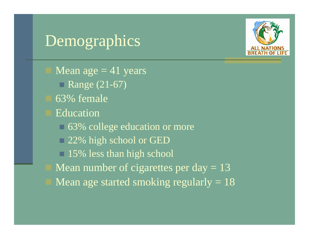

# Demographics

Mean age  $=$  41 years Range (21-67) 63% female Education 63% college education or more 22% high school or GED **15%** less than high school Mean number of cigarettes per day  $= 13$ Mean age started smoking regularly  $= 18$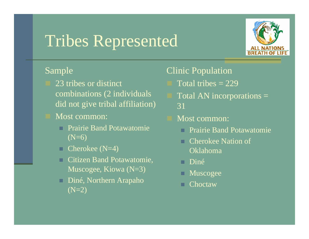# Tribes Represented



#### Sample

- 23 tribes or distinct combinations (2 individuals did not give tribal affiliation)
- Most common:
	- Prairie Band Potawatomie  $(N=6)$
	- п Cherokee (N=4)
	- Citizen Band Potawatomie, Muscogee, Kiowa (N=3)
	- п Diné, Northern Arapaho  $(N=2)$

#### Clinic Population

- Total tribes  $= 229$
- Total AN incorporations = 31
- Most common:
	- Prairie Band Potawatomie
	- . Cherokee Nation of Oklahoma
	- . Diné
	- Muscogee
	- Choctaw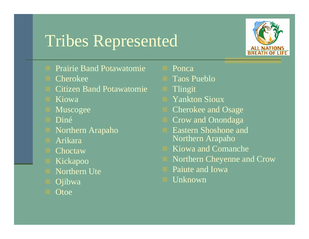# Tribes Represented



- Prairie Band Potawatomie
- Cherokee
- Citizen Band Potawatomie
- Kiowa
- Muscogee
- Diné
- Northern Arapaho
- Arikara
- **Choctaw**
- Kickapoo
- Northern Ute
- Ojibwa
- **Otoe**
- Ponca
- Taos Pueblo
- Tlingit
- Yankton Sioux
- Cherokee and Osage
- Crow and Onondaga
- Eastern Shoshone and Northern Arapaho
- Kiowa and Comanche
- Northern Cheyenne and Crow
- Paiute and Iowa
- Unknown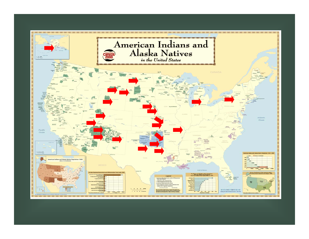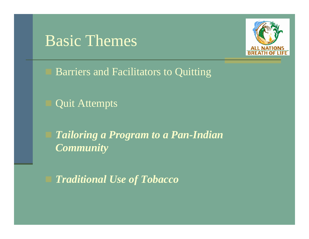### Basic Themes



Barriers and Facilitators to Quitting

Quit Attempts

 *Tailoring a Program to a Pan-Indian Community*

*Traditional Use of Tobacco*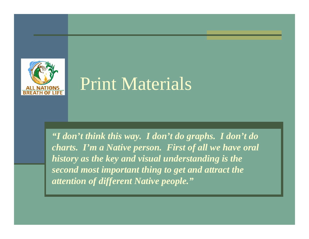

# Print Materials

*"I don't think this way. I don't do graphs. I don't do charts. I'm a Native person. First of all we have oral history as the key and visual understanding is the second most important thing to get and attract the attention of different Native people."*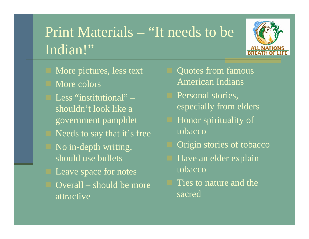# Print Materials – "It needs to be Indian!"



- More pictures, less text
- More colors
- Less "institutional" shouldn't look like a government pamphlet Needs to say that it's free No in-depth writing, should use bullets Leave space for notes Overall – should be more attractive
- Quotes from famous American Indians
- Personal stories, especially from elders
- Honor spirituality of tobacco
- Origin stories of tobacco
- Have an elder explain tobacco
- Ties to nature and the sacred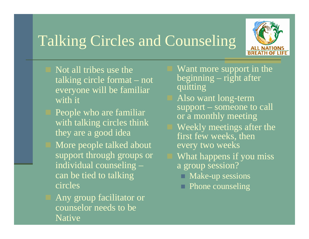# Talking Circles and Counseling



- Not all tribes use the talking circle format – not everyone will be familiar with it
- People who are familiar with talking circles think they are a good idea
- More people talked about support through groups or individual counseling – can be tied to talking circles
- Any group facilitator or counselor needs to be Native
- Want more support in the beginning – right after quitting
- Also want long-term support – someone to call or a monthly meeting
- Weekly meetings after the first few weeks, then every two weeks
- What happens if you miss a group session?
	- Make-up sessions
	- **Phone counseling**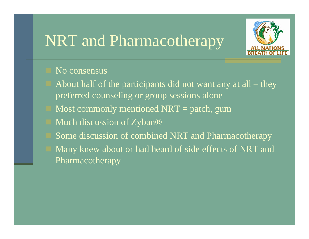## NRT and Pharmacotherapy



#### No consensus

- About half of the participants did not want any at all they preferred counseling or group sessions alone
- Most commonly mentioned  $NRT =$  patch, gum
- Much discussion of Zyban®
- Some discussion of combined NRT and Pharmacotherapy
- Many knew about or had heard of side effects of NRT and **Pharmacotherapy**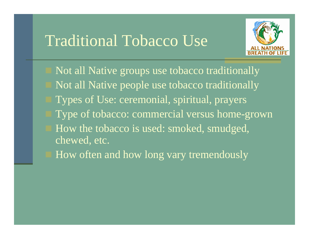### Traditional Tobacco Use



- Not all Native groups use tobacco traditionally Not all Native people use tobacco traditionally Types of Use: ceremonial, spiritual, prayers Type of tobacco: commercial versus home-grown How the tobacco is used: smoked, smudged, chewed, etc.
- How often and how long vary tremendously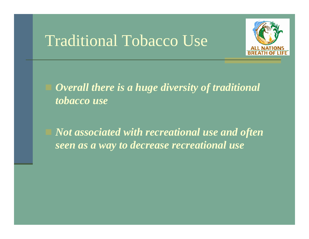### Traditional Tobacco Use



 *Overall there is a huge diversity of traditional tobacco use*

 *Not associated with recreational use and often seen as a way to decrease recreational use*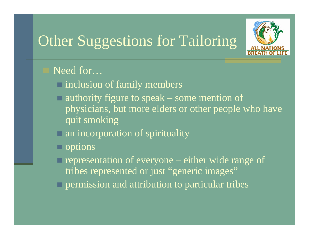## **Other Suggestions for Tailoring**



#### Need for...

- $\Box$  inclusion of family members
- $\blacksquare$  authority figure to speak some mention of physicians, but more elders or other people who have quit smoking
- $\Box$  an incorporation of spirituality
- $\Box$  options
- $\Box$  representation of everyone either wide range of tribes represented or just "generic images"
- $\Box$  permission and attribution to particular tribes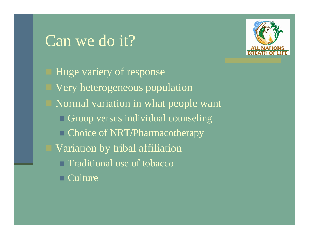## Can we do it?



 Huge variety of response Very heterogeneous population Normal variation in what people want **□ Group versus individual counseling □ Choice of NRT/Pharmacotherapy**  Variation by tribal affiliation **□ Traditional use of tobacco** Culture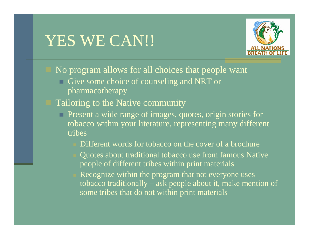## YES WE CAN!!



No program allows for all choices that people want

- Give some choice of counseling and NRT or pharmacotherapy
- Tailoring to the Native community
	- **Present a wide range of images, quotes, origin stories for** tobacco within your literature, representing many different tribes
		- Different words for tobacco on the cover of a brochure
		- Quotes about traditional tobacco use from famous Native people of different tribes within print materials
		- Recognize within the program that not everyone uses tobacco traditionally – ask people about it, make mention of some tribes that do not within print materials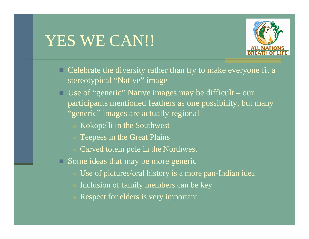# YES WE CAN!!



- Celebrate the diversity rather than try to make everyone fit a stereotypical "Native" image
- Use of "generic" Native images may be difficult our participants mentioned feathers as one possibility, but many "generic" images are actually regional
	- Kokopelli in the Southwest
	- Teepees in the Great Plains
	- Carved totem pole in the Northwest
- Some ideas that may be more generic
	- Use of pictures/oral history is a more pan-Indian idea
	- Inclusion of family members can be key
	- Respect for elders is very important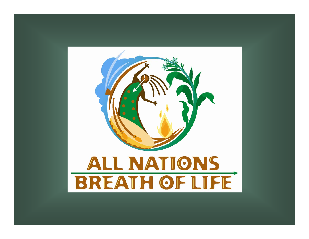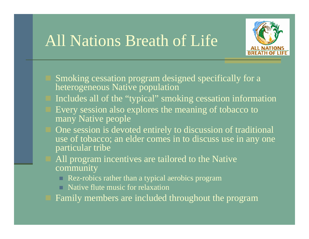## All Nations Breath of Life



- Smoking cessation program designed specifically for a heterogeneous Native population
- Includes all of the "typical" smoking cessation information
- Every session also explores the meaning of tobacco to many Native people
- One session is devoted entirely to discussion of traditional use of tobacco; an elder comes in to discuss use in any one particular tribe
- All program incentives are tailored to the Native community
	- Rez-robics rather than a typical aerobics program
	- Native flute music for relaxation
- Family members are included throughout the program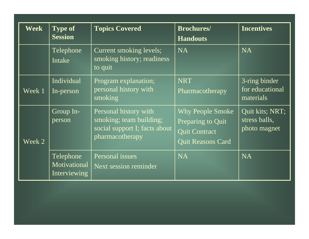| <b>Week</b> | <b>Type of</b><br><b>Topics Covered</b><br><b>Session</b> |                                                                                                      | <b>Brochures/</b><br><b>Handouts</b>                                                             | <b>Incentives</b>                                |
|-------------|-----------------------------------------------------------|------------------------------------------------------------------------------------------------------|--------------------------------------------------------------------------------------------------|--------------------------------------------------|
|             | Telephone<br>Intake                                       | Current smoking levels;<br>smoking history; readiness<br>to quit                                     | <b>NA</b>                                                                                        | <b>NA</b>                                        |
| Week 1      | Individual<br>In-person                                   | Program explanation;<br>personal history with<br>smoking                                             | <b>NRT</b><br>Pharmacotherapy                                                                    | 3-ring binder<br>for educational<br>materials    |
| Week 2      | Group In-<br>person                                       | Personal history with<br>smoking; team building;<br>social support I; facts about<br>pharmacotherapy | <b>Why People Smoke</b><br>Preparing to Quit<br><b>Quit Contract</b><br><b>Quit Reasons Card</b> | Quit kits; NRT;<br>stress balls,<br>photo magnet |
|             | Telephone<br>Motivational<br>Interviewing                 | Personal issues<br>Next session reminder                                                             | <b>NA</b>                                                                                        | <b>NA</b>                                        |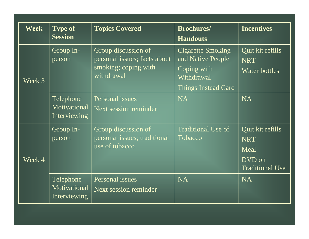| <b>Week</b> | <b>Type of</b><br><b>Session</b>          | <b>Topics Covered</b><br><b>Brochures/</b><br><b>Handouts</b>                             |                                                                                                   | <b>Incentives</b>                                                          |
|-------------|-------------------------------------------|-------------------------------------------------------------------------------------------|---------------------------------------------------------------------------------------------------|----------------------------------------------------------------------------|
| Week 3      | Group In-<br>person                       | Group discussion of<br>personal issues; facts about<br>smoking; coping with<br>withdrawal | <b>Cigarette Smoking</b><br>and Native People<br>Coping with<br>Withdrawal<br>Things Instead Card | Quit kit refills<br><b>NRT</b><br>Water bottles                            |
|             | Telephone<br>Motivational<br>Interviewing | Personal issues<br>Next session reminder                                                  | <b>NA</b>                                                                                         | <b>NA</b>                                                                  |
| Week 4      | Group In-<br>person                       | Group discussion of<br>personal issues; traditional<br>use of tobacco                     | <b>Traditional Use of</b><br>Tobacco                                                              | Quit kit refills<br><b>NRT</b><br>Meal<br>DVD on<br><b>Traditional Use</b> |
|             | Telephone<br>Motivational<br>Interviewing | Personal issues<br>Next session reminder                                                  | <b>NA</b>                                                                                         | <b>NA</b>                                                                  |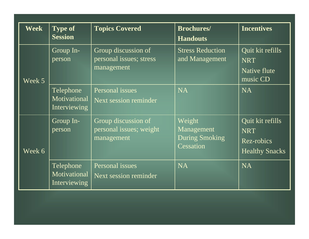| <b>Week</b> | <b>Type of</b><br><b>Session</b>          | <b>Topics Covered</b>                                        | <b>Brochures/</b><br><b>Handouts</b>                       | <b>Incentives</b>                                                     |
|-------------|-------------------------------------------|--------------------------------------------------------------|------------------------------------------------------------|-----------------------------------------------------------------------|
| Week 5      | Group In-<br>person                       | Group discussion of<br>personal issues; stress<br>management | <b>Stress Reduction</b><br>and Management                  | Quit kit refills<br><b>NRT</b><br>Native flute<br>music CD            |
|             | Telephone<br>Motivational<br>Interviewing | Personal issues<br>Next session reminder                     | <b>NA</b>                                                  | <b>NA</b>                                                             |
| Week 6      | Group In-<br>person                       | Group discussion of<br>personal issues; weight<br>management | Weight<br>Management<br><b>During Smoking</b><br>Cessation | Quit kit refills<br><b>NRT</b><br>Rez-robics<br><b>Healthy Snacks</b> |
|             | Telephone<br>Motivational<br>Interviewing | Personal issues<br>Next session reminder                     | <b>NA</b>                                                  | <b>NA</b>                                                             |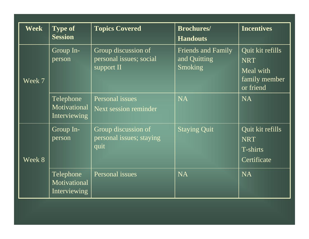| <b>Week</b> | <b>Type of</b>                                                                 | <b>Topics Covered</b>                                        | <b>Brochures/</b>                                           | <b>Incentives</b>                                                         |
|-------------|--------------------------------------------------------------------------------|--------------------------------------------------------------|-------------------------------------------------------------|---------------------------------------------------------------------------|
|             | <b>Session</b>                                                                 |                                                              | <b>Handouts</b>                                             |                                                                           |
| Week 7      | Group In-<br>person                                                            | Group discussion of<br>personal issues; social<br>support II | <b>Friends and Family</b><br>and Quitting<br><b>Smoking</b> | Quit kit refills<br><b>NRT</b><br>Meal with<br>family member<br>or friend |
|             | Telephone<br>Motivational<br>Interviewing                                      | Personal issues<br>Next session reminder                     | <b>NA</b>                                                   | <b>NA</b>                                                                 |
| Week 8      | Group discussion of<br>Group In-<br>personal issues; staying<br>person<br>quit |                                                              | <b>Staying Quit</b>                                         | Quit kit refills<br><b>NRT</b><br>T-shirts<br>Certificate                 |
|             | Telephone<br>Motivational<br>Interviewing                                      | Personal issues                                              | <b>NA</b>                                                   | <b>NA</b>                                                                 |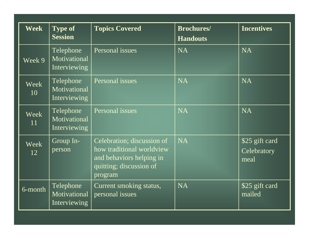| <b>Week</b>       | <b>Type of</b><br><b>Session</b>          | <b>Topics Covered</b>                                                                                                     | <b>Brochures/</b><br><b>Handouts</b> | <b>Incentives</b>                     |
|-------------------|-------------------------------------------|---------------------------------------------------------------------------------------------------------------------------|--------------------------------------|---------------------------------------|
| Week 9            | Telephone<br>Motivational<br>Interviewing | Personal issues                                                                                                           | <b>NA</b>                            | <b>NA</b>                             |
| <b>Week</b><br>10 | Telephone<br>Motivational<br>Interviewing | Personal issues                                                                                                           | <b>NA</b>                            | <b>NA</b>                             |
| Week<br>11        | Telephone<br>Motivational<br>Interviewing | Personal issues                                                                                                           | <b>NA</b>                            | <b>NA</b>                             |
| Week<br>12        | Group In-<br>person                       | Celebration; discussion of<br>how traditional worldview<br>and behaviors helping in<br>quitting; discussion of<br>program | <b>NA</b>                            | \$25 gift card<br>Celebratory<br>meal |
| 6-month           | Telephone<br>Motivational<br>Interviewing | Current smoking status,<br>personal issues                                                                                | <b>NA</b>                            | \$25 gift card<br>mailed              |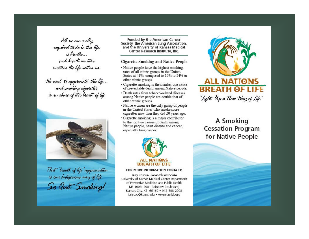All we are really required to do in this life. is breathe... each breath we take sustains the life within us.

We need to appreciate this life... and smoking cigarettes is an abuse of this breath of life.



That "breath of life" appreciation is our Indigenous way of life. So Quit Smoking!

**Funded by the American Cancer** Society, the American Lung Association, and the University of Kansas Medical Center Research Institute, Inc.

#### **Cigarette Smoking and Native People**

- · Native people have the highest smoking rates of all ethnic groups in the United States at 41%, compared to 15% to 24% in other ethnic groups.
- · Cigarette smoking is the number one cause of preventable death among Native people.
- · Death rates from tobacco-related diseases among Native people are double that of other ethnic groups.
- Native women are the only group of people in the United States who smoke more cigarettes now than they did 20 years ago.
- · Cigarette smoking is a major contributor to the top two causes of death among Native people, heart disease and cancer, especially lung cancer.



#### FOR MORE INFORMATION CONTACT:

Jerry Briscoe, Research Associate University of Kansas Medical Center Department of Preventive Medicine and Public Health MS 1008, 3901 Rainbow Boulevard, Kansas City, KS 66160 . 913-588-2708 jbriscoe@kumc.edu . www.anbl.org



"Light Up a new Way of Life"

A Smoking **Cessation Program** for Native People

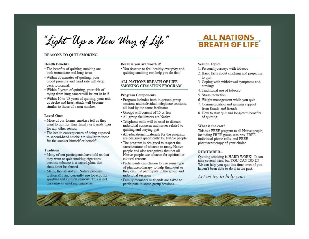"Light Up a New Way of Life"

#### REASONS TO QUIT SMOKING

#### **Health Benefits**

- The benefits of quitting smoking are both immediate and long-term.
- · Within 20 minutes of quitting, your blood pressure and heart rate will drop back to normal.
- · Within 5 years of quitting, your risk of dying from lung cancer will be cut in half.
- · Within 10 to 15 years of quitting, your risk of stroke and heart attack will become similar to those of a non-smoker.

#### **Loved Ones**

- . More of our former smokers tell us they want to quit for their family or friends than for any other reason.
- The health consequences of being exposed to second-hand smoke are similar to those for the smoker himself or herself!

#### **Tradition**

- . Many of our participants have told us that they want to quit smoking cigarettes because tobacco is a sacred plant that should not be abused.
- · Many, though not all. Native peoples historically and currently use tobacco for spiritual and cultural reasons. This is not the same as smoking cigarettes.

#### Because you are worth it!

. You deserve to feel healthy everyday and quitting smoking can help you do that!

#### ALL NATIONS BREATH OF LIFE SMOKING CESSATION PROGRAM

#### **Program Components**

- · Program includes both in-person group sessions and individual telephone sessions, all lead by the same facilitator
- Groups will consist of 15 or less
- All group facilitators are Native
- Telephone calls will be used to discuss individual concerns and issues related to quitting and staying quit
- All educational materials for the program are designed specifically for Native people
- The program is designed to respect the sacred nature of tobacco to many Native people and also recognizes that not all Native people use tobacco for spiritual or cultural reasons
- Participants can choose to use some type of pharmacotherapy to help them quit or they can just participate in the group and individual sessions
- · Family members or friends are asked to participate in some group sessions

#### **ALL NATIONS BREATH OF LIFE**

#### **Session Topics**

- 1. Personal journeys with tobacco
- 2. Basic facts about smoking and preparing to quit
- 3. Coping with withdrawal symptoms and cravings
- 4. Traditional use of tobacco
- 5. Stress reduction
- 6. Weight management while you quit
- 7. Communication and gaining support from family and friends
- 8. How to stay quit and long-term benefits of quitting

#### What is the cost?

This is a FREE program to all Native people, including FREE group sessions, FREE individual phone calls, and FREE pharmacotherapy of your choice.

#### **REMEMBER...**

Quitting smoking is HARD WORK! It can take several tries, but YOU CAN DO IT! We can help you quit this time, even if you haven't been able to do it in the past.

#### Let us try to help you!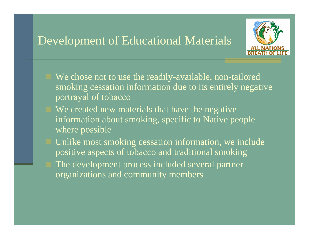#### Development of Educational Materials



- We chose not to use the readily-available, non-tailored smoking cessation information due to its entirely negative portrayal of tobacco
- We created new materials that have the negative information about smoking, specific to Native people where possible
- Unlike most smoking cessation information, we include positive aspects of tobacco and traditional smoking The development process included several partner organizations and community members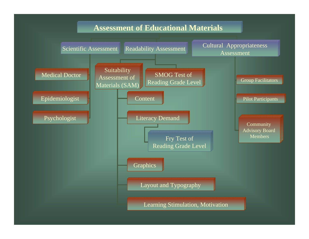#### **Assessment of Educational Materials**

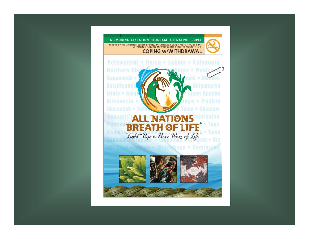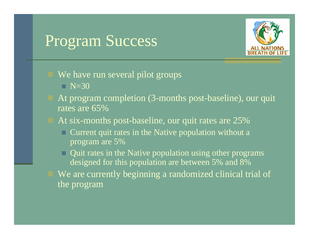### Program Success



- We have run several pilot groups
	- N=30
- At program completion (3-months post-baseline), our quit rates are 65%
- At six-months post-baseline, our quit rates are 25%
	- $\Box$  Current quit rates in the Native population without a program are 5%
	- Quit rates in the Native population using other programs designed for this population are between 5% and 8%
	- We are currently beginning a randomized clinical trial of the program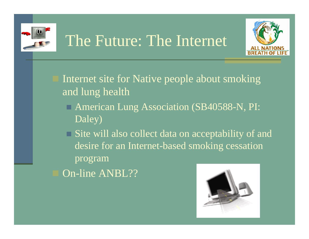

# The Future: The Internet



 Internet site for Native people about smoking and lung health

 American Lung Association (SB40588-N, PI: Daley)

**□ Site will also collect data on acceptability of and** desire for an Internet-based smoking cessation program

On-line ANBL??